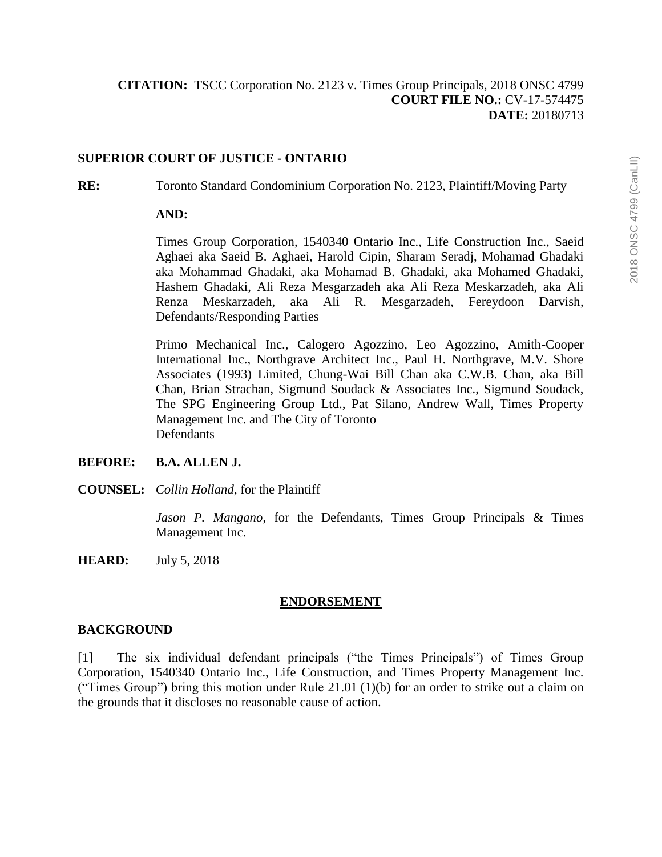## **SUPERIOR COURT OF JUSTICE - ONTARIO**

**RE:** Toronto Standard Condominium Corporation No. 2123, Plaintiff/Moving Party

## **AND:**

Times Group Corporation, 1540340 Ontario Inc., Life Construction Inc., Saeid Aghaei aka Saeid B. Aghaei, Harold Cipin, Sharam Seradj, Mohamad Ghadaki aka Mohammad Ghadaki, aka Mohamad B. Ghadaki, aka Mohamed Ghadaki, Hashem Ghadaki, Ali Reza Mesgarzadeh aka Ali Reza Meskarzadeh, aka Ali Renza Meskarzadeh, aka Ali R. Mesgarzadeh, Fereydoon Darvish, Defendants/Responding Parties

Primo Mechanical Inc., Calogero Agozzino, Leo Agozzino, Amith-Cooper International Inc., Northgrave Architect Inc., Paul H. Northgrave, M.V. Shore Associates (1993) Limited, Chung-Wai Bill Chan aka C.W.B. Chan, aka Bill Chan, Brian Strachan, Sigmund Soudack & Associates Inc., Sigmund Soudack, The SPG Engineering Group Ltd., Pat Silano, Andrew Wall, Times Property Management Inc. and The City of Toronto Defendants

## **BEFORE: B.A. ALLEN J.**

**COUNSEL:** *Collin Holland*, for the Plaintiff

*Jason P. Mangano*, for the Defendants, Times Group Principals & Times Management Inc.

**HEARD:** July 5, 2018

## **ENDORSEMENT**

## **BACKGROUND**

[1] The six individual defendant principals ("the Times Principals") of Times Group Corporation, 1540340 Ontario Inc., Life Construction, and Times Property Management Inc. ("Times Group") bring this motion under Rule 21.01 (1)(b) for an order to strike out a claim on the grounds that it discloses no reasonable cause of action.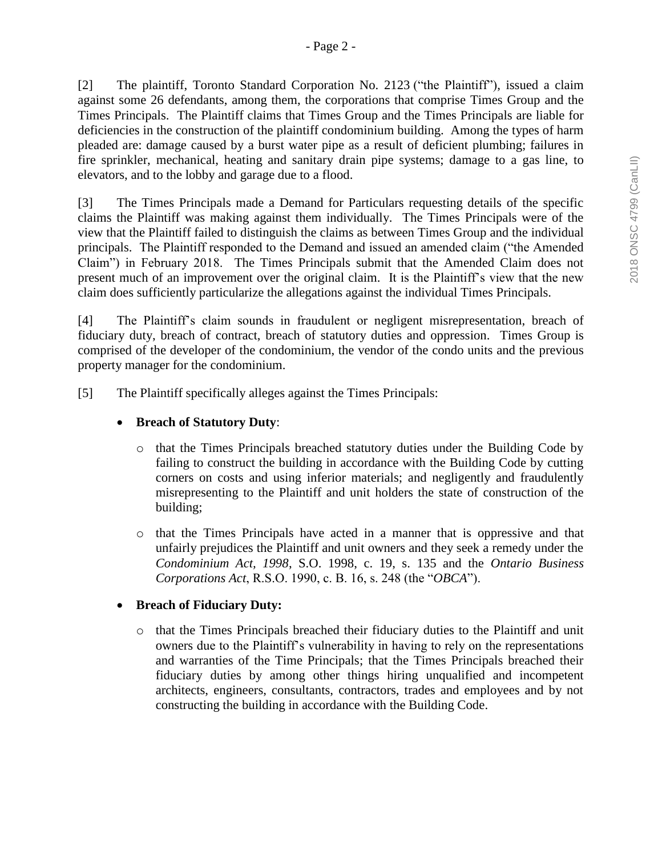[2] The plaintiff, Toronto Standard Corporation No. 2123 ("the Plaintiff"), issued a claim against some 26 defendants, among them, the corporations that comprise Times Group and the Times Principals. The Plaintiff claims that Times Group and the Times Principals are liable for deficiencies in the construction of the plaintiff condominium building. Among the types of harm pleaded are: damage caused by a burst water pipe as a result of deficient plumbing; failures in fire sprinkler, mechanical, heating and sanitary drain pipe systems; damage to a gas line, to elevators, and to the lobby and garage due to a flood.

[3] The Times Principals made a Demand for Particulars requesting details of the specific claims the Plaintiff was making against them individually. The Times Principals were of the view that the Plaintiff failed to distinguish the claims as between Times Group and the individual principals. The Plaintiff responded to the Demand and issued an amended claim ("the Amended Claim") in February 2018. The Times Principals submit that the Amended Claim does not present much of an improvement over the original claim. It is the Plaintiff's view that the new claim does sufficiently particularize the allegations against the individual Times Principals.

[4] The Plaintiff's claim sounds in fraudulent or negligent misrepresentation, breach of fiduciary duty, breach of contract, breach of statutory duties and oppression. Times Group is comprised of the developer of the condominium, the vendor of the condo units and the previous property manager for the condominium.

[5] The Plaintiff specifically alleges against the Times Principals:

### **Breach of Statutory Duty**:

- o that the Times Principals breached statutory duties under the Building Code by failing to construct the building in accordance with the Building Code by cutting corners on costs and using inferior materials; and negligently and fraudulently misrepresenting to the Plaintiff and unit holders the state of construction of the building;
- o that the Times Principals have acted in a manner that is oppressive and that unfairly prejudices the Plaintiff and unit owners and they seek a remedy under the *Condominium Act, 1998*, S.O. 1998, c. 19, s. 135 and the *Ontario Business Corporations Act*, R.S.O. 1990, c. B. 16, s. 248 (the "*OBCA*").

## **Breach of Fiduciary Duty:**

o that the Times Principals breached their fiduciary duties to the Plaintiff and unit owners due to the Plaintiff's vulnerability in having to rely on the representations and warranties of the Time Principals; that the Times Principals breached their fiduciary duties by among other things hiring unqualified and incompetent architects, engineers, consultants, contractors, trades and employees and by not constructing the building in accordance with the Building Code.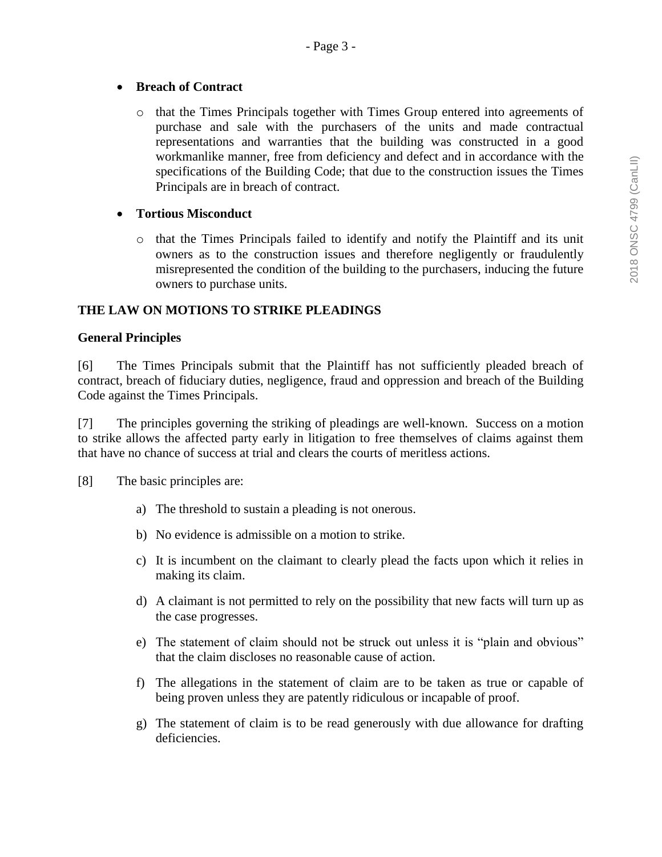## **Breach of Contract**

o that the Times Principals together with Times Group entered into agreements of purchase and sale with the purchasers of the units and made contractual representations and warranties that the building was constructed in a good workmanlike manner, free from deficiency and defect and in accordance with the specifications of the Building Code; that due to the construction issues the Times Principals are in breach of contract.

# **Tortious Misconduct**

o that the Times Principals failed to identify and notify the Plaintiff and its unit owners as to the construction issues and therefore negligently or fraudulently misrepresented the condition of the building to the purchasers, inducing the future owners to purchase units.

# **THE LAW ON MOTIONS TO STRIKE PLEADINGS**

## **General Principles**

[6] The Times Principals submit that the Plaintiff has not sufficiently pleaded breach of contract, breach of fiduciary duties, negligence, fraud and oppression and breach of the Building Code against the Times Principals.

[7] The principles governing the striking of pleadings are well-known. Success on a motion to strike allows the affected party early in litigation to free themselves of claims against them that have no chance of success at trial and clears the courts of meritless actions.

[8] The basic principles are:

- a) The threshold to sustain a pleading is not onerous.
- b) No evidence is admissible on a motion to strike.
- c) It is incumbent on the claimant to clearly plead the facts upon which it relies in making its claim.
- d) A claimant is not permitted to rely on the possibility that new facts will turn up as the case progresses.
- e) The statement of claim should not be struck out unless it is "plain and obvious" that the claim discloses no reasonable cause of action.
- f) The allegations in the statement of claim are to be taken as true or capable of being proven unless they are patently ridiculous or incapable of proof.
- g) The statement of claim is to be read generously with due allowance for drafting deficiencies.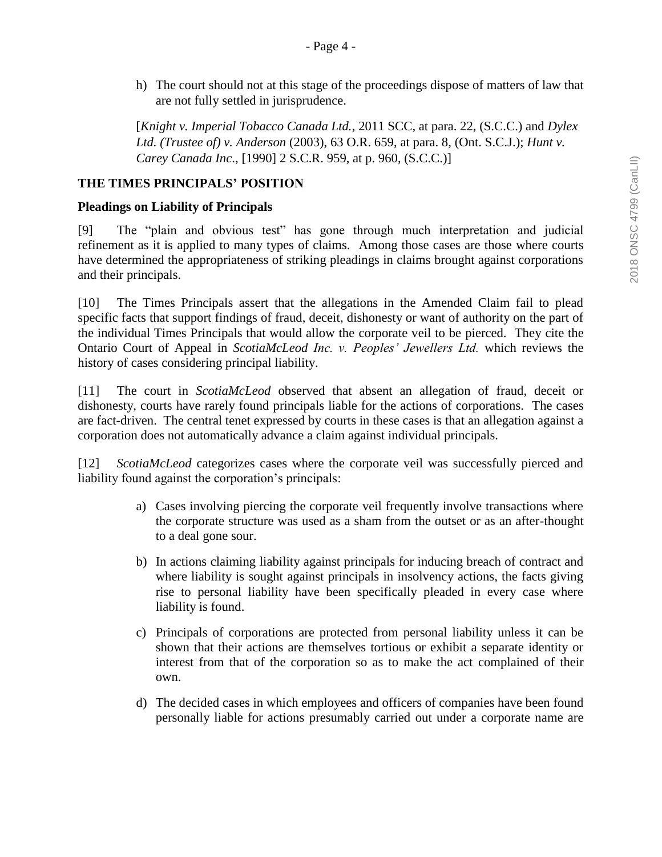h) The court should not at this stage of the proceedings dispose of matters of law that are not fully settled in jurisprudence.

[*Knight v. Imperial Tobacco Canada Ltd.*, 2011 SCC, at para. 22, (S.C.C.) and *Dylex Ltd. (Trustee of) v. Anderson* (2003), 63 O.R. 659, at para. 8, (Ont. S.C.J.); *Hunt v. Carey Canada Inc*., [1990] 2 S.C.R. 959, at p. 960, (S.C.C.)]

### **THE TIMES PRINCIPALS' POSITION**

### **Pleadings on Liability of Principals**

[9] The "plain and obvious test" has gone through much interpretation and judicial refinement as it is applied to many types of claims. Among those cases are those where courts have determined the appropriateness of striking pleadings in claims brought against corporations and their principals.

[10] The Times Principals assert that the allegations in the Amended Claim fail to plead specific facts that support findings of fraud, deceit, dishonesty or want of authority on the part of the individual Times Principals that would allow the corporate veil to be pierced. They cite the Ontario Court of Appeal in *ScotiaMcLeod Inc. v. Peoples' Jewellers Ltd.* which reviews the history of cases considering principal liability.

[11] The court in *ScotiaMcLeod* observed that absent an allegation of fraud, deceit or dishonesty, courts have rarely found principals liable for the actions of corporations. The cases are fact-driven. The central tenet expressed by courts in these cases is that an allegation against a corporation does not automatically advance a claim against individual principals.

[12] *ScotiaMcLeod* categorizes cases where the corporate veil was successfully pierced and liability found against the corporation's principals:

- a) Cases involving piercing the corporate veil frequently involve transactions where the corporate structure was used as a sham from the outset or as an after-thought to a deal gone sour.
- b) In actions claiming liability against principals for inducing breach of contract and where liability is sought against principals in insolvency actions, the facts giving rise to personal liability have been specifically pleaded in every case where liability is found.
- c) Principals of corporations are protected from personal liability unless it can be shown that their actions are themselves tortious or exhibit a separate identity or interest from that of the corporation so as to make the act complained of their own.
- d) The decided cases in which employees and officers of companies have been found personally liable for actions presumably carried out under a corporate name are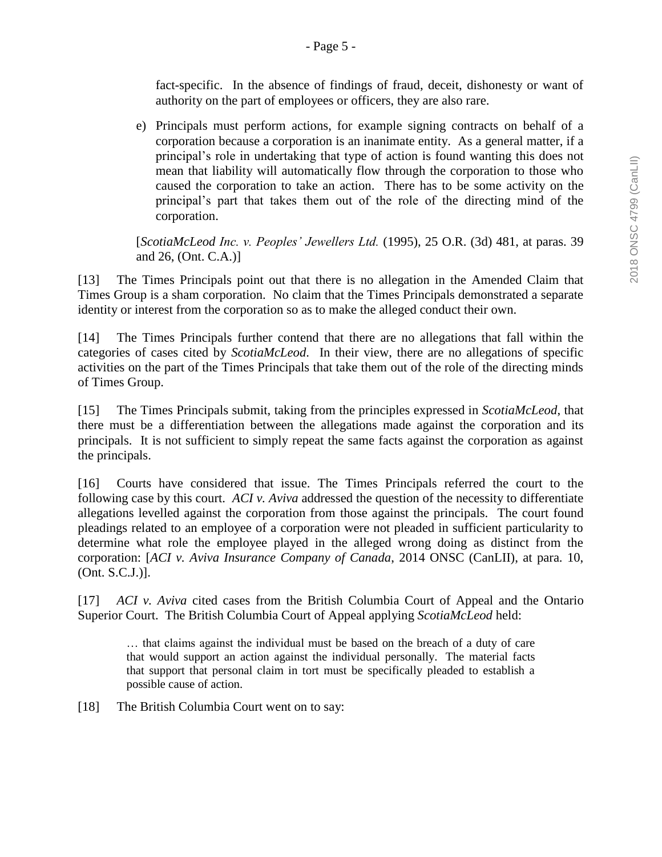fact-specific. In the absence of findings of fraud, deceit, dishonesty or want of authority on the part of employees or officers, they are also rare.

e) Principals must perform actions, for example signing contracts on behalf of a corporation because a corporation is an inanimate entity. As a general matter, if a principal's role in undertaking that type of action is found wanting this does not mean that liability will automatically flow through the corporation to those who caused the corporation to take an action. There has to be some activity on the principal's part that takes them out of the role of the directing mind of the corporation.

[*ScotiaMcLeod Inc. v. Peoples' Jewellers Ltd.* (1995), 25 O.R. (3d) 481, at paras. 39 and 26, (Ont. C.A.)]

[13] The Times Principals point out that there is no allegation in the Amended Claim that Times Group is a sham corporation. No claim that the Times Principals demonstrated a separate identity or interest from the corporation so as to make the alleged conduct their own.

[14] The Times Principals further contend that there are no allegations that fall within the categories of cases cited by *ScotiaMcLeod*. In their view, there are no allegations of specific activities on the part of the Times Principals that take them out of the role of the directing minds of Times Group.

[15] The Times Principals submit, taking from the principles expressed in *ScotiaMcLeod*, that there must be a differentiation between the allegations made against the corporation and its principals. It is not sufficient to simply repeat the same facts against the corporation as against the principals.

[16] Courts have considered that issue. The Times Principals referred the court to the following case by this court. *ACI v. Aviva* addressed the question of the necessity to differentiate allegations levelled against the corporation from those against the principals. The court found pleadings related to an employee of a corporation were not pleaded in sufficient particularity to determine what role the employee played in the alleged wrong doing as distinct from the corporation: [*ACI v. Aviva Insurance Company of Canada*, 2014 ONSC (CanLII), at para. 10, (Ont. S.C.J.)].

[17] *ACI v. Aviva* cited cases from the British Columbia Court of Appeal and the Ontario Superior Court. The British Columbia Court of Appeal applying *ScotiaMcLeod* held:

… that claims against the individual must be based on the breach of a duty of care that would support an action against the individual personally. The material facts that support that personal claim in tort must be specifically pleaded to establish a possible cause of action.

[18] The British Columbia Court went on to say: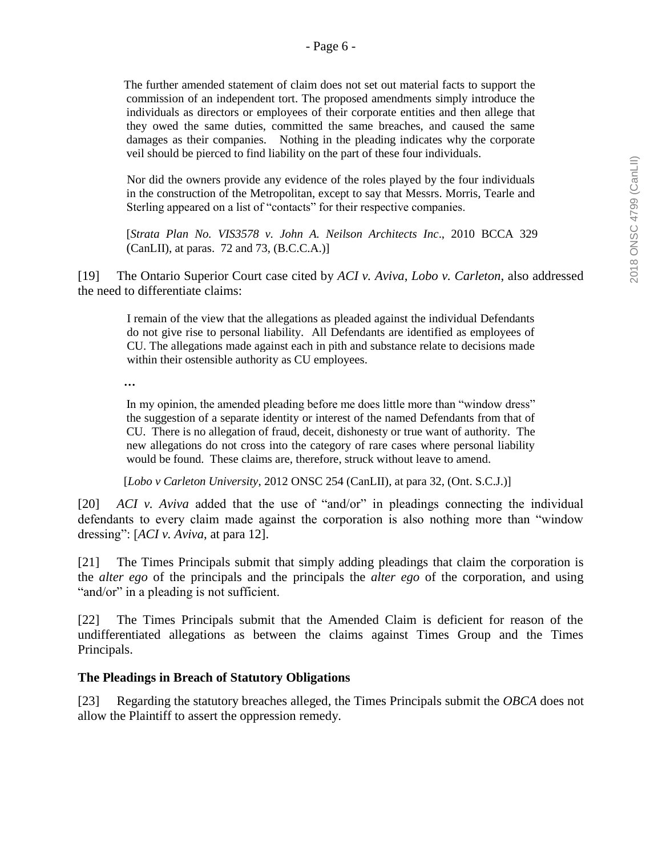The further amended statement of claim does not set out material facts to support the commission of an independent tort. The proposed amendments simply introduce the individuals as directors or employees of their corporate entities and then allege that they owed the same duties, committed the same breaches, and caused the same damages as their companies. Nothing in the pleading indicates why the corporate veil should be pierced to find liability on the part of these four individuals.

Nor did the owners provide any evidence of the roles played by the four individuals in the construction of the Metropolitan, except to say that Messrs. Morris, Tearle and Sterling appeared on a list of "contacts" for their respective companies.

[*Strata Plan No. VIS3578 v. John A. Neilson Architects Inc*., 2010 BCCA 329 (CanLII), at paras. 72 and 73,  $(B.C.C.A.)$ ]

[19] The Ontario Superior Court case cited by *ACI v. Aviva*, *Lobo v. Carleton*, also addressed the need to differentiate claims:

I remain of the view that the allegations as pleaded against the individual Defendants do not give rise to personal liability. All Defendants are identified as employees of CU. The allegations made against each in pith and substance relate to decisions made within their ostensible authority as CU employees.

**…**

In my opinion, the amended pleading before me does little more than "window dress" the suggestion of a separate identity or interest of the named Defendants from that of CU. There is no allegation of fraud, deceit, dishonesty or true want of authority. The new allegations do not cross into the category of rare cases where personal liability would be found. These claims are, therefore, struck without leave to amend.

[*Lobo v Carleton University*, [2012 ONSC 254](https://www.canlii.org/en/on/onsc/doc/2012/2012onsc254/2012onsc254.html) (CanLII), at para 32, (Ont. S.C.J.)]

[20] *ACI v. Aviva* added that the use of "and/or" in pleadings connecting the individual defendants to every claim made against the corporation is also nothing more than "window dressing": [*ACI v. Aviva*, at para 12].

[21] The Times Principals submit that simply adding pleadings that claim the corporation is the *alter ego* of the principals and the principals the *alter ego* of the corporation, and using "and/or" in a pleading is not sufficient.

[22] The Times Principals submit that the Amended Claim is deficient for reason of the undifferentiated allegations as between the claims against Times Group and the Times Principals.

#### **The Pleadings in Breach of Statutory Obligations**

[23] Regarding the statutory breaches alleged, the Times Principals submit the *OBCA* does not allow the Plaintiff to assert the oppression remedy.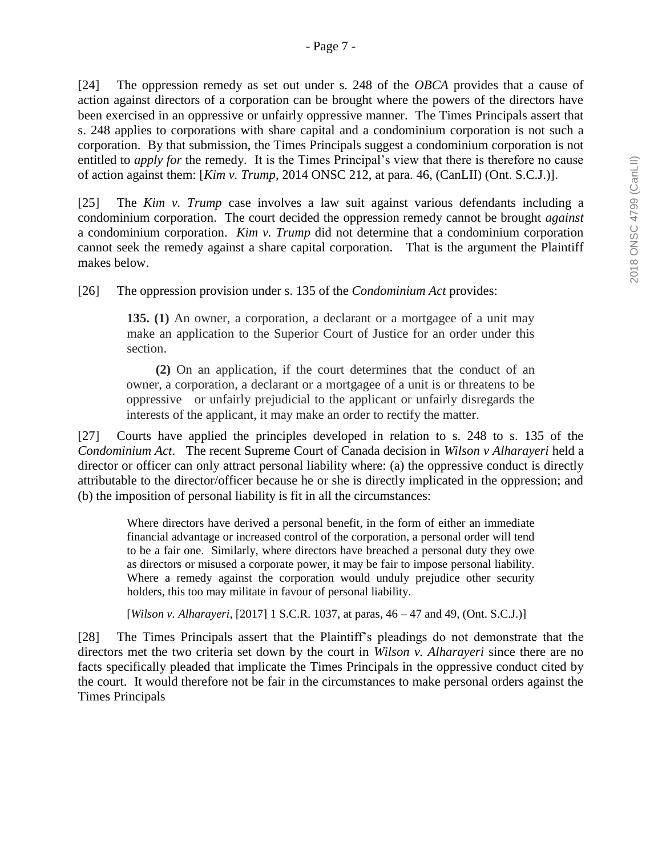[24] The oppression remedy as set out under s. 248 of the *OBCA* provides that a cause of action against directors of a corporation can be brought where the powers of the directors have been exercised in an oppressive or unfairly oppressive manner. The Times Principals assert that s. 248 applies to corporations with share capital and a condominium corporation is not such a corporation. By that submission, the Times Principals suggest a condominium corporation is not entitled to *apply for* the remedy. It is the Times Principal's view that there is therefore no cause of action against them: [*Kim v. Trump*, 2014 ONSC 212, at para. 46, (CanLII) (Ont. S.C.J.)].

[25] The *Kim v. Trump* case involves a law suit against various defendants including a condominium corporation. The court decided the oppression remedy cannot be brought *against* a condominium corporation. *Kim v. Trump* did not determine that a condominium corporation cannot seek the remedy against a share capital corporation. That is the argument the Plaintiff makes below.

[26] The oppression provision under s. 135 of the *Condominium Act* provides:

**135. (1)** An owner, a corporation, a declarant or a mortgagee of a unit may make an application to the Superior Court of Justice for an order under this section.

 **(2)** On an application, if the court determines that the conduct of an owner, a corporation, a declarant or a mortgagee of a unit is or threatens to be oppressive or unfairly prejudicial to the applicant or unfairly disregards the interests of the applicant, it may make an order to rectify the matter.

[27] Courts have applied the principles developed in relation to s. 248 to s. 135 of the *Condominium Act*. The recent Supreme Court of Canada decision in *Wilson v Alharayeri* held a director or officer can only attract personal liability where: (a) the oppressive conduct is directly attributable to the director/officer because he or she is directly implicated in the oppression; and (b) the imposition of personal liability is fit in all the circumstances:

Where directors have derived a personal benefit, in the form of either an immediate financial advantage or increased control of the corporation, a personal order will tend to be a fair one. Similarly, where directors have breached a personal duty they owe as directors or misused a corporate power, it may be fair to impose personal liability. Where a remedy against the corporation would unduly prejudice other security holders, this too may militate in favour of personal liability.

[*Wilson v. Alharayeri*, [2017] 1 S.C.R. 1037, at paras, 46 – 47 and 49, (Ont. S.C.J.)]

[28] The Times Principals assert that the Plaintiff's pleadings do not demonstrate that the directors met the two criteria set down by the court in *Wilson v. Alharayeri* since there are no facts specifically pleaded that implicate the Times Principals in the oppressive conduct cited by the court. It would therefore not be fair in the circumstances to make personal orders against the Times Principals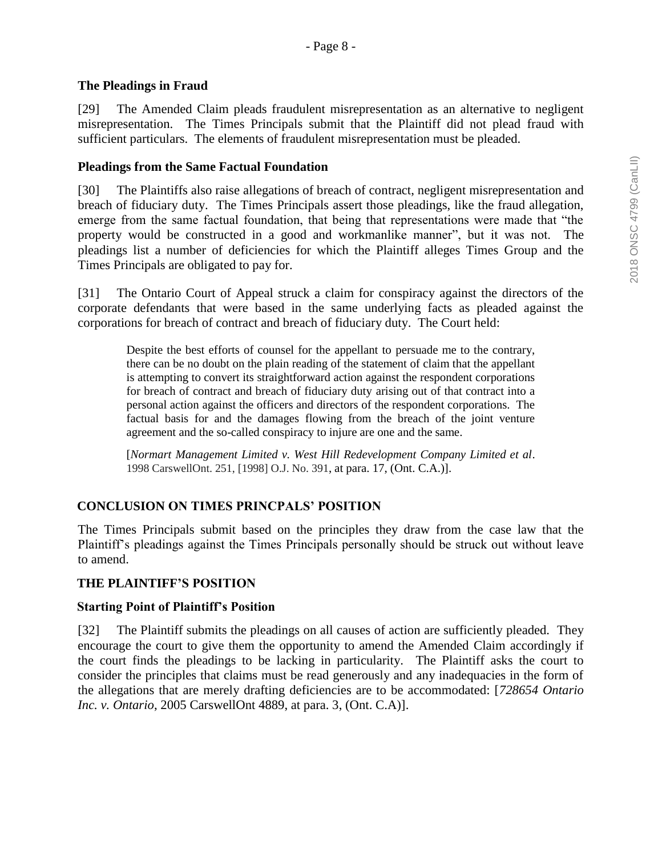### **The Pleadings in Fraud**

[29] The Amended Claim pleads fraudulent misrepresentation as an alternative to negligent misrepresentation. The Times Principals submit that the Plaintiff did not plead fraud with sufficient particulars. The elements of fraudulent misrepresentation must be pleaded.

### **Pleadings from the Same Factual Foundation**

[30] The Plaintiffs also raise allegations of breach of contract, negligent misrepresentation and breach of fiduciary duty. The Times Principals assert those pleadings, like the fraud allegation, emerge from the same factual foundation, that being that representations were made that "the property would be constructed in a good and workmanlike manner", but it was not. The pleadings list a number of deficiencies for which the Plaintiff alleges Times Group and the Times Principals are obligated to pay for.

[31] The Ontario Court of Appeal struck a claim for conspiracy against the directors of the corporate defendants that were based in the same underlying facts as pleaded against the corporations for breach of contract and breach of fiduciary duty. The Court held:

Despite the best efforts of counsel for the appellant to persuade me to the contrary, there can be no doubt on the plain reading of the statement of claim that the appellant is attempting to convert its straightforward action against the respondent corporations for breach of contract and breach of fiduciary duty arising out of that contract into a personal action against the officers and directors of the respondent corporations. The factual basis for and the damages flowing from the breach of the joint venture agreement and the so-called conspiracy to injure are one and the same.

[*Normart Management Limited v. West Hill Redevelopment Company Limited et al*. 1998 CarswellOnt. 251, [1998] O.J. No. 391, at para. 17, (Ont. C.A.)].

## **CONCLUSION ON TIMES PRINCPALS' POSITION**

The Times Principals submit based on the principles they draw from the case law that the Plaintiff's pleadings against the Times Principals personally should be struck out without leave to amend.

## **THE PLAINTIFF'S POSITION**

#### **Starting Point of Plaintiff's Position**

[32] The Plaintiff submits the pleadings on all causes of action are sufficiently pleaded. They encourage the court to give them the opportunity to amend the Amended Claim accordingly if the court finds the pleadings to be lacking in particularity. The Plaintiff asks the court to consider the principles that claims must be read generously and any inadequacies in the form of the allegations that are merely drafting deficiencies are to be accommodated: [*728654 Ontario Inc. v. Ontario*, 2005 CarswellOnt 4889, at para. 3, (Ont. C.A)].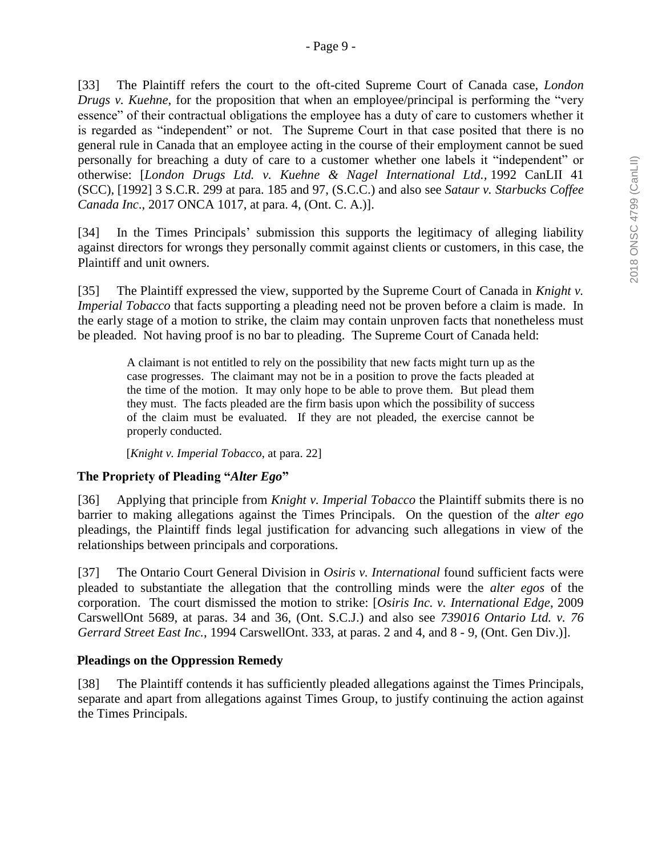[33] The Plaintiff refers the court to the oft-cited Supreme Court of Canada case, *London Drugs v. Kuehne*, for the proposition that when an employee/principal is performing the "very essence" of their contractual obligations the employee has a duty of care to customers whether it is regarded as "independent" or not. The Supreme Court in that case posited that there is no general rule in Canada that an employee acting in the course of their employment cannot be sued personally for breaching a duty of care to a customer whether one labels it "independent" or otherwise: [*London Drugs Ltd. v. Kuehne & Nagel International Ltd.,* [1992 CanLII 41](https://www.canlii.org/en/ca/scc/doc/1992/1992canlii41/1992canlii41.html)  [\(SCC\),](https://www.canlii.org/en/ca/scc/doc/1992/1992canlii41/1992canlii41.html) [1992] 3 S.C.R. 299 at para. 185 and 97, (S.C.C.) and also see *Sataur v. Starbucks Coffee Canada Inc*., 2017 ONCA 1017, at para. 4, (Ont. C. A.)].

[34] In the Times Principals' submission this supports the legitimacy of alleging liability against directors for wrongs they personally commit against clients or customers, in this case, the Plaintiff and unit owners.

[35] The Plaintiff expressed the view, supported by the Supreme Court of Canada in *Knight v. Imperial Tobacco* that facts supporting a pleading need not be proven before a claim is made. In the early stage of a motion to strike, the claim may contain unproven facts that nonetheless must be pleaded. Not having proof is no bar to pleading. The Supreme Court of Canada held:

A claimant is not entitled to rely on the possibility that new facts might turn up as the case progresses. The claimant may not be in a position to prove the facts pleaded at the time of the motion. It may only hope to be able to prove them. But plead them they must. The facts pleaded are the firm basis upon which the possibility of success of the claim must be evaluated. If they are not pleaded, the exercise cannot be properly conducted.

[*Knight v. Imperial Tobacco*, at para. 22]

## **The Propriety of Pleading "***Alter Ego***"**

[36] Applying that principle from *Knight v. Imperial Tobacco* the Plaintiff submits there is no barrier to making allegations against the Times Principals. On the question of the *alter ego* pleadings, the Plaintiff finds legal justification for advancing such allegations in view of the relationships between principals and corporations.

[37] The Ontario Court General Division in *Osiris v. International* found sufficient facts were pleaded to substantiate the allegation that the controlling minds were the *alter egos* of the corporation. The court dismissed the motion to strike: [*Osiris Inc. v. International Edge*, 2009 CarswellOnt 5689, at paras. 34 and 36, (Ont. S.C.J.) and also see *739016 Ontario Ltd. v. 76 Gerrard Street East Inc.*, 1994 CarswellOnt. 333, at paras. 2 and 4, and 8 - 9, (Ont. Gen Div.)].

#### **Pleadings on the Oppression Remedy**

[38] The Plaintiff contends it has sufficiently pleaded allegations against the Times Principals, separate and apart from allegations against Times Group, to justify continuing the action against the Times Principals.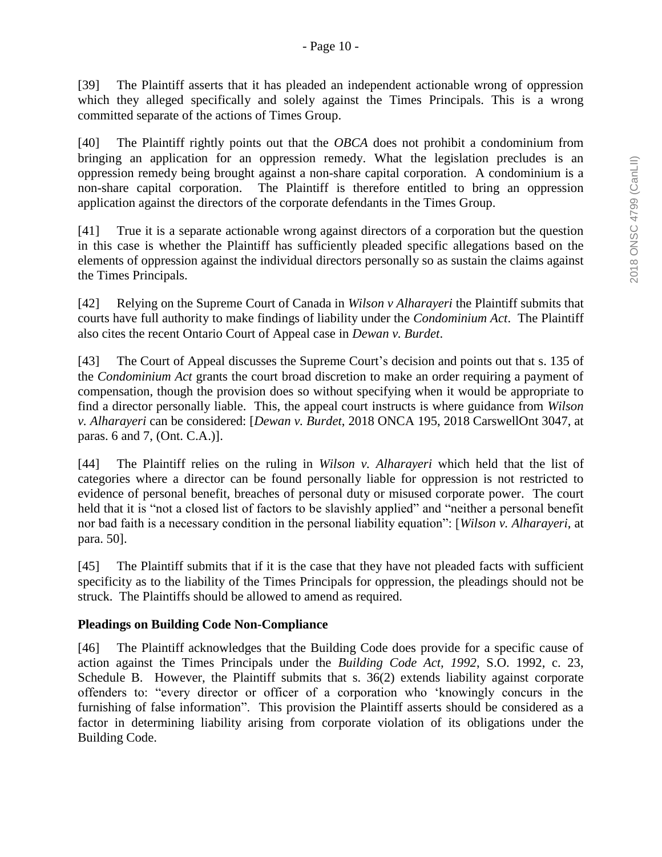[39] The Plaintiff asserts that it has pleaded an independent actionable wrong of oppression which they alleged specifically and solely against the Times Principals. This is a wrong committed separate of the actions of Times Group.

[40] The Plaintiff rightly points out that the *OBCA* does not prohibit a condominium from bringing an application for an oppression remedy. What the legislation precludes is an oppression remedy being brought against a non-share capital corporation. A condominium is a non-share capital corporation. The Plaintiff is therefore entitled to bring an oppression application against the directors of the corporate defendants in the Times Group.

[41] True it is a separate actionable wrong against directors of a corporation but the question in this case is whether the Plaintiff has sufficiently pleaded specific allegations based on the elements of oppression against the individual directors personally so as sustain the claims against the Times Principals.

[42] Relying on the Supreme Court of Canada in *Wilson v Alharayeri* the Plaintiff submits that courts have full authority to make findings of liability under the *Condominium Act*. The Plaintiff also cites the recent Ontario Court of Appeal case in *Dewan v. Burdet*.

[43] The Court of Appeal discusses the Supreme Court's decision and points out that s. 135 of the *Condominium Act* grants the court broad discretion to make an order requiring a payment of compensation, though the provision does so without specifying when it would be appropriate to find a director personally liable. This, the appeal court instructs is where guidance from *Wilson v. Alharayeri* can be considered: [*Dewan v. Burdet*, 2018 ONCA 195, 2018 CarswellOnt 3047, at paras. 6 and 7, (Ont. C.A.)].

[44] The Plaintiff relies on the ruling in *Wilson v. Alharayeri* which held that the list of categories where a director can be found personally liable for oppression is not restricted to evidence of personal benefit, breaches of personal duty or misused corporate power. The court held that it is "not a closed list of factors to be slavishly applied" and "neither a personal benefit nor bad faith is a necessary condition in the personal liability equation": [*Wilson v. Alharayeri*, at para. 50].

[45] The Plaintiff submits that if it is the case that they have not pleaded facts with sufficient specificity as to the liability of the Times Principals for oppression, the pleadings should not be struck. The Plaintiffs should be allowed to amend as required.

## **Pleadings on Building Code Non-Compliance**

[46] The Plaintiff acknowledges that the Building Code does provide for a specific cause of action against the Times Principals under the *Building Code Act, 1992*, S.O. 1992, c. 23, Schedule B. However, the Plaintiff submits that s. 36(2) extends liability against corporate offenders to: "every director or officer of a corporation who 'knowingly concurs in the furnishing of false information". This provision the Plaintiff asserts should be considered as a factor in determining liability arising from corporate violation of its obligations under the Building Code.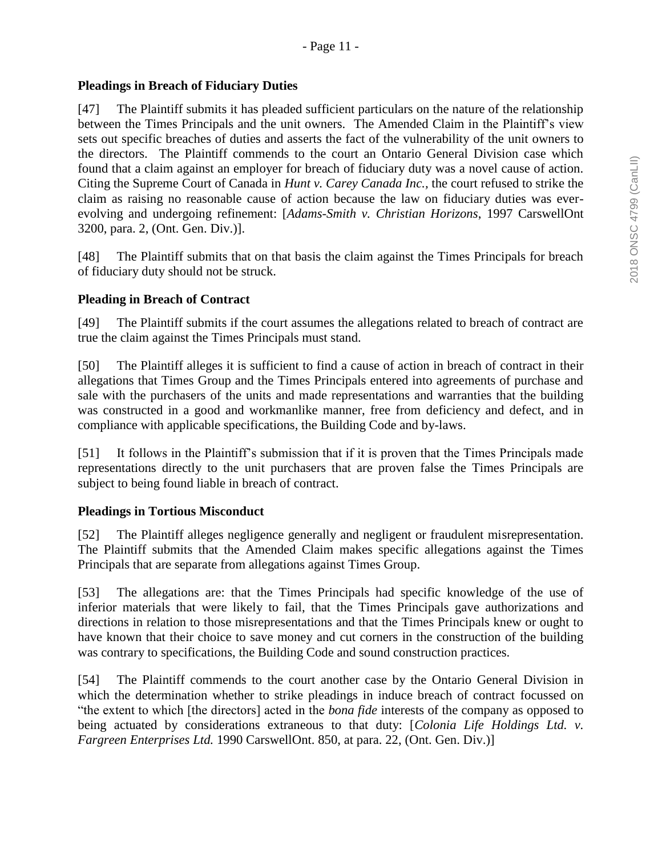### **Pleadings in Breach of Fiduciary Duties**

[47] The Plaintiff submits it has pleaded sufficient particulars on the nature of the relationship between the Times Principals and the unit owners. The Amended Claim in the Plaintiff's view sets out specific breaches of duties and asserts the fact of the vulnerability of the unit owners to the directors. The Plaintiff commends to the court an Ontario General Division case which found that a claim against an employer for breach of fiduciary duty was a novel cause of action. Citing the Supreme Court of Canada in *Hunt v. Carey Canada Inc.,* the court refused to strike the claim as raising no reasonable cause of action because the law on fiduciary duties was everevolving and undergoing refinement: [*Adams-Smith v. Christian Horizons*, 1997 CarswellOnt 3200, para. 2, (Ont. Gen. Div.)].

[48] The Plaintiff submits that on that basis the claim against the Times Principals for breach of fiduciary duty should not be struck.

### **Pleading in Breach of Contract**

[49] The Plaintiff submits if the court assumes the allegations related to breach of contract are true the claim against the Times Principals must stand.

[50] The Plaintiff alleges it is sufficient to find a cause of action in breach of contract in their allegations that Times Group and the Times Principals entered into agreements of purchase and sale with the purchasers of the units and made representations and warranties that the building was constructed in a good and workmanlike manner, free from deficiency and defect, and in compliance with applicable specifications, the Building Code and by-laws.

[51] It follows in the Plaintiff's submission that if it is proven that the Times Principals made representations directly to the unit purchasers that are proven false the Times Principals are subject to being found liable in breach of contract.

#### **Pleadings in Tortious Misconduct**

[52] The Plaintiff alleges negligence generally and negligent or fraudulent misrepresentation. The Plaintiff submits that the Amended Claim makes specific allegations against the Times Principals that are separate from allegations against Times Group.

[53] The allegations are: that the Times Principals had specific knowledge of the use of inferior materials that were likely to fail, that the Times Principals gave authorizations and directions in relation to those misrepresentations and that the Times Principals knew or ought to have known that their choice to save money and cut corners in the construction of the building was contrary to specifications, the Building Code and sound construction practices.

[54] The Plaintiff commends to the court another case by the Ontario General Division in which the determination whether to strike pleadings in induce breach of contract focussed on "the extent to which [the directors] acted in the *bona fide* interests of the company as opposed to being actuated by considerations extraneous to that duty: [*Colonia Life Holdings Ltd. v. Fargreen Enterprises Ltd.* 1990 CarswellOnt. 850, at para. 22, (Ont. Gen. Div.)]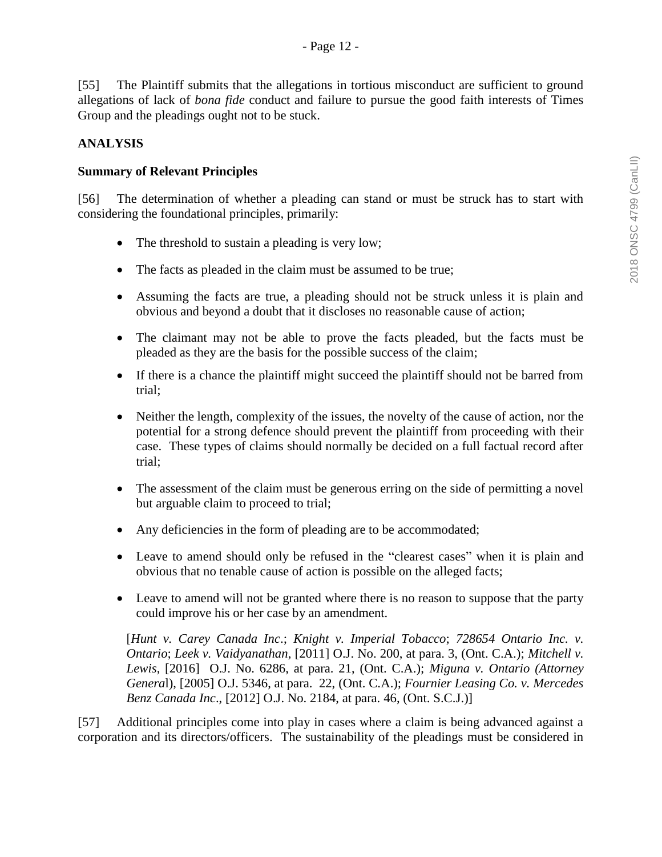[55] The Plaintiff submits that the allegations in tortious misconduct are sufficient to ground allegations of lack of *bona fide* conduct and failure to pursue the good faith interests of Times Group and the pleadings ought not to be stuck.

## **ANALYSIS**

### **Summary of Relevant Principles**

[56] The determination of whether a pleading can stand or must be struck has to start with considering the foundational principles, primarily:

- The threshold to sustain a pleading is very low;
- The facts as pleaded in the claim must be assumed to be true;
- Assuming the facts are true, a pleading should not be struck unless it is plain and obvious and beyond a doubt that it discloses no reasonable cause of action;
- The claimant may not be able to prove the facts pleaded, but the facts must be pleaded as they are the basis for the possible success of the claim;
- If there is a chance the plaintiff might succeed the plaintiff should not be barred from trial;
- Neither the length, complexity of the issues, the novelty of the cause of action, nor the potential for a strong defence should prevent the plaintiff from proceeding with their case. These types of claims should normally be decided on a full factual record after trial;
- The assessment of the claim must be generous erring on the side of permitting a novel but arguable claim to proceed to trial;
- Any deficiencies in the form of pleading are to be accommodated;
- Leave to amend should only be refused in the "clearest cases" when it is plain and obvious that no tenable cause of action is possible on the alleged facts;
- Leave to amend will not be granted where there is no reason to suppose that the party could improve his or her case by an amendment.

[*Hunt v. Carey Canada Inc*.; *Knight v. Imperial Tobacco*; *728654 Ontario Inc. v. Ontario*; *Leek v. Vaidyanathan*, [2011] O.J. No. 200, at para. 3, (Ont. C.A.); *Mitchell v. Lewis*, [2016] O.J. No. 6286, at para. 21, (Ont. C.A.); *Miguna v. Ontario (Attorney Genera*l), [2005] O.J. 5346, at para. 22, (Ont. C.A.); *Fournier Leasing Co. v. Mercedes Benz Canada Inc*., [2012] O.J. No. 2184, at para. 46, (Ont. S.C.J.)]

[57] Additional principles come into play in cases where a claim is being advanced against a corporation and its directors/officers. The sustainability of the pleadings must be considered in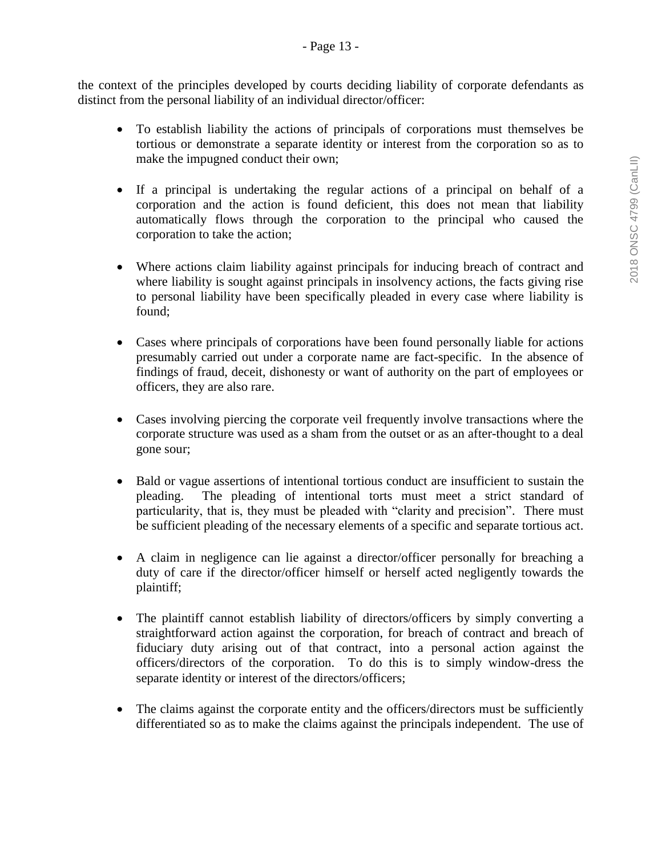the context of the principles developed by courts deciding liability of corporate defendants as distinct from the personal liability of an individual director/officer:

- To establish liability the actions of principals of corporations must themselves be tortious or demonstrate a separate identity or interest from the corporation so as to make the impugned conduct their own;
- If a principal is undertaking the regular actions of a principal on behalf of a corporation and the action is found deficient, this does not mean that liability automatically flows through the corporation to the principal who caused the corporation to take the action;
- Where actions claim liability against principals for inducing breach of contract and where liability is sought against principals in insolvency actions, the facts giving rise to personal liability have been specifically pleaded in every case where liability is found;
- Cases where principals of corporations have been found personally liable for actions presumably carried out under a corporate name are fact-specific. In the absence of findings of fraud, deceit, dishonesty or want of authority on the part of employees or officers, they are also rare.
- Cases involving piercing the corporate veil frequently involve transactions where the corporate structure was used as a sham from the outset or as an after-thought to a deal gone sour;
- Bald or vague assertions of intentional tortious conduct are insufficient to sustain the pleading. The pleading of intentional torts must meet a strict standard of particularity, that is, they must be pleaded with "clarity and precision". There must be sufficient pleading of the necessary elements of a specific and separate tortious act.
- A claim in negligence can lie against a director/officer personally for breaching a duty of care if the director/officer himself or herself acted negligently towards the plaintiff;
- The plaintiff cannot establish liability of directors/officers by simply converting a straightforward action against the corporation, for breach of contract and breach of fiduciary duty arising out of that contract, into a personal action against the officers/directors of the corporation. To do this is to simply window-dress the separate identity or interest of the directors/officers;
- The claims against the corporate entity and the officers/directors must be sufficiently differentiated so as to make the claims against the principals independent. The use of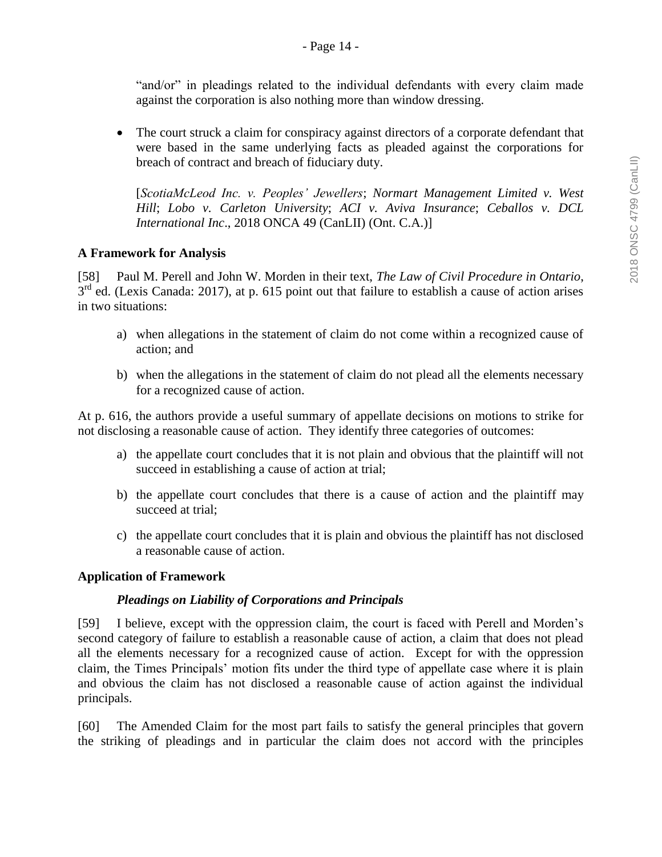"and/or" in pleadings related to the individual defendants with every claim made against the corporation is also nothing more than window dressing.

• The court struck a claim for conspiracy against directors of a corporate defendant that were based in the same underlying facts as pleaded against the corporations for breach of contract and breach of fiduciary duty.

[*ScotiaMcLeod Inc. v. Peoples' Jewellers*; *Normart Management Limited v. West Hill*; *Lobo v. Carleton University*; *ACI v. Aviva Insurance*; *Ceballos v. DCL International Inc*., 2018 ONCA 49 (CanLII) (Ont. C.A.)]

### **A Framework for Analysis**

[58] Paul M. Perell and John W. Morden in their text, *The Law of Civil Procedure in Ontario*,  $3<sup>rd</sup>$  ed. (Lexis Canada: 2017), at p. 615 point out that failure to establish a cause of action arises in two situations:

- a) when allegations in the statement of claim do not come within a recognized cause of action; and
- b) when the allegations in the statement of claim do not plead all the elements necessary for a recognized cause of action.

At p. 616, the authors provide a useful summary of appellate decisions on motions to strike for not disclosing a reasonable cause of action. They identify three categories of outcomes:

- a) the appellate court concludes that it is not plain and obvious that the plaintiff will not succeed in establishing a cause of action at trial;
- b) the appellate court concludes that there is a cause of action and the plaintiff may succeed at trial;
- c) the appellate court concludes that it is plain and obvious the plaintiff has not disclosed a reasonable cause of action.

#### **Application of Framework**

#### *Pleadings on Liability of Corporations and Principals*

[59] I believe, except with the oppression claim, the court is faced with Perell and Morden's second category of failure to establish a reasonable cause of action, a claim that does not plead all the elements necessary for a recognized cause of action. Except for with the oppression claim, the Times Principals' motion fits under the third type of appellate case where it is plain and obvious the claim has not disclosed a reasonable cause of action against the individual principals.

[60] The Amended Claim for the most part fails to satisfy the general principles that govern the striking of pleadings and in particular the claim does not accord with the principles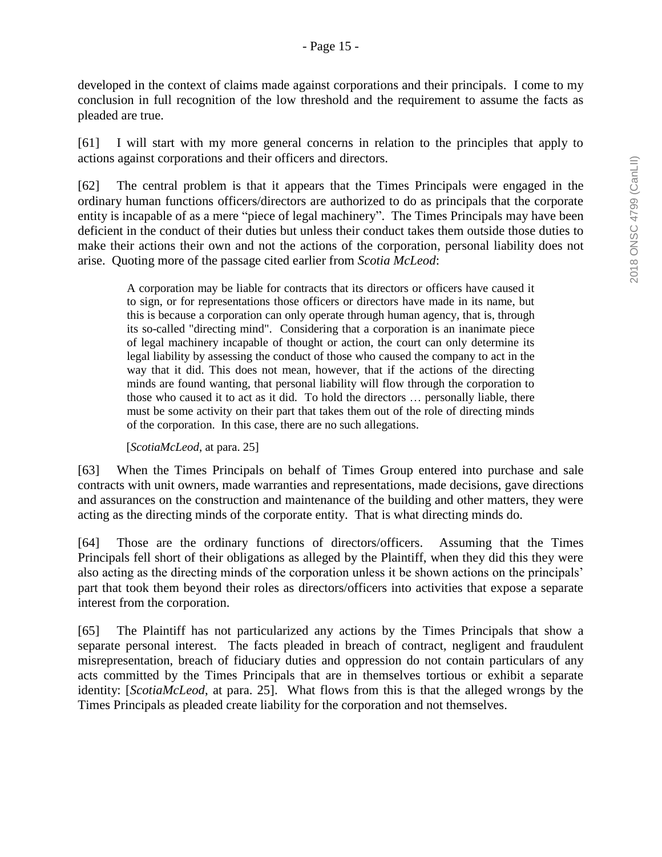developed in the context of claims made against corporations and their principals. I come to my conclusion in full recognition of the low threshold and the requirement to assume the facts as pleaded are true.

[61] I will start with my more general concerns in relation to the principles that apply to actions against corporations and their officers and directors.

[62] The central problem is that it appears that the Times Principals were engaged in the ordinary human functions officers/directors are authorized to do as principals that the corporate entity is incapable of as a mere "piece of legal machinery". The Times Principals may have been deficient in the conduct of their duties but unless their conduct takes them outside those duties to make their actions their own and not the actions of the corporation, personal liability does not arise. Quoting more of the passage cited earlier from *Scotia McLeod*:

A corporation may be liable for contracts that its directors or officers have caused it to sign, or for representations those officers or directors have made in its name, but this is because a corporation can only operate through human agency, that is, through its so-called "directing mind". Considering that a corporation is an inanimate piece of legal machinery incapable of thought or action, the court can only determine its legal liability by assessing the conduct of those who caused the company to act in the way that it did. This does not mean, however, that if the actions of the directing minds are found wanting, that personal liability will flow through the corporation to those who caused it to act as it did. To hold the directors … personally liable, there must be some activity on their part that takes them out of the role of directing minds of the corporation. In this case, there are no such allegations.

[*ScotiaMcLeod*, at para. 25]

[63] When the Times Principals on behalf of Times Group entered into purchase and sale contracts with unit owners, made warranties and representations, made decisions, gave directions and assurances on the construction and maintenance of the building and other matters, they were acting as the directing minds of the corporate entity. That is what directing minds do.

[64] Those are the ordinary functions of directors/officers. Assuming that the Times Principals fell short of their obligations as alleged by the Plaintiff, when they did this they were also acting as the directing minds of the corporation unless it be shown actions on the principals' part that took them beyond their roles as directors/officers into activities that expose a separate interest from the corporation.

[65] The Plaintiff has not particularized any actions by the Times Principals that show a separate personal interest. The facts pleaded in breach of contract, negligent and fraudulent misrepresentation, breach of fiduciary duties and oppression do not contain particulars of any acts committed by the Times Principals that are in themselves tortious or exhibit a separate identity: [*ScotiaMcLeod*, at para. 25]. What flows from this is that the alleged wrongs by the Times Principals as pleaded create liability for the corporation and not themselves.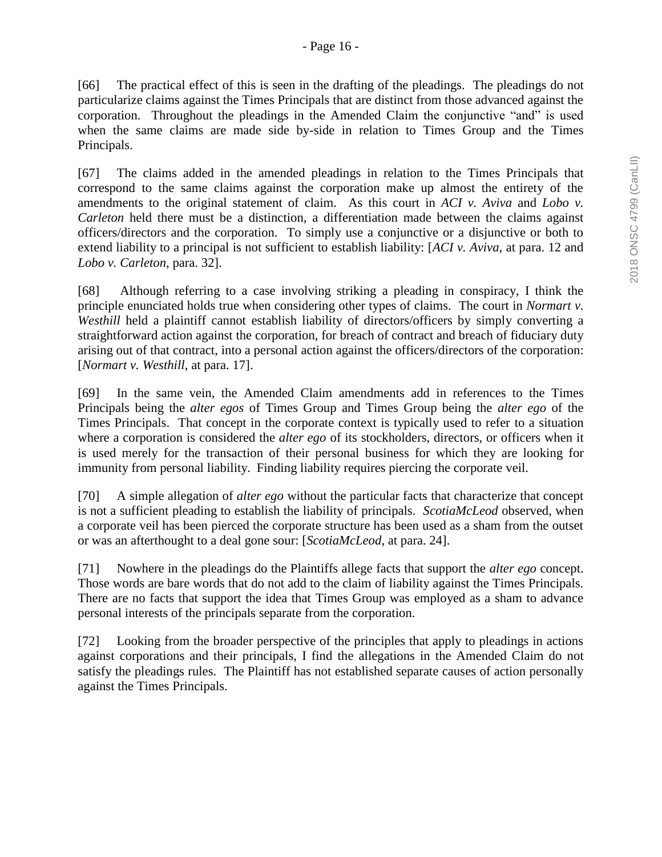[66] The practical effect of this is seen in the drafting of the pleadings. The pleadings do not particularize claims against the Times Principals that are distinct from those advanced against the corporation. Throughout the pleadings in the Amended Claim the conjunctive "and" is used when the same claims are made side by-side in relation to Times Group and the Times Principals.

[67] The claims added in the amended pleadings in relation to the Times Principals that correspond to the same claims against the corporation make up almost the entirety of the amendments to the original statement of claim. As this court in *ACI v. Aviva* and *Lobo v. Carleton* held there must be a distinction, a differentiation made between the claims against officers/directors and the corporation. To simply use a conjunctive or a disjunctive or both to extend liability to a principal is not sufficient to establish liability: [*ACI v. Aviva*, at para. 12 and *Lobo v. Carleton*, para. 32].

[68] Although referring to a case involving striking a pleading in conspiracy, I think the principle enunciated holds true when considering other types of claims. The court in *Normart v. Westhill* held a plaintiff cannot establish liability of directors/officers by simply converting a straightforward action against the corporation, for breach of contract and breach of fiduciary duty arising out of that contract, into a personal action against the officers/directors of the corporation: [*Normart v. Westhill*, at para. 17].

[69] In the same vein, the Amended Claim amendments add in references to the Times Principals being the *alter egos* of Times Group and Times Group being the *alter ego* of the Times Principals. That concept in the corporate context is typically used to refer to a situation where a corporation is considered the *alter ego* of its stockholders, directors, or officers when it is used merely for the transaction of their personal business for which they are looking for [immunity](https://legal-dictionary.thefreedictionary.com/immunity) from personal liability. Finding liability requires piercing the corporate veil.

[70] A simple allegation of *alter ego* without the particular facts that characterize that concept is not a sufficient pleading to establish the liability of principals. *ScotiaMcLeod* observed, when a corporate veil has been pierced the corporate structure has been used as a sham from the outset or was an afterthought to a deal gone sour: [*ScotiaMcLeod*, at para. 24].

[71] Nowhere in the pleadings do the Plaintiffs allege facts that support the *alter ego* concept. Those words are bare words that do not add to the claim of liability against the Times Principals. There are no facts that support the idea that Times Group was employed as a sham to advance personal interests of the principals separate from the corporation.

[72] Looking from the broader perspective of the principles that apply to pleadings in actions against corporations and their principals, I find the allegations in the Amended Claim do not satisfy the pleadings rules. The Plaintiff has not established separate causes of action personally against the Times Principals.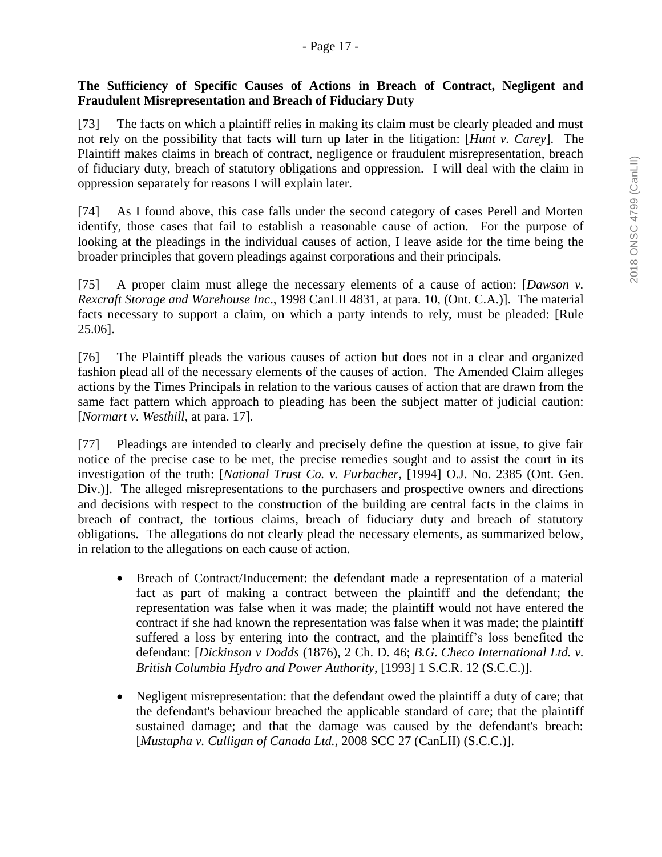### **The Sufficiency of Specific Causes of Actions in Breach of Contract, Negligent and Fraudulent Misrepresentation and Breach of Fiduciary Duty**

[73] The facts on which a plaintiff relies in making its claim must be clearly pleaded and must not rely on the possibility that facts will turn up later in the litigation: [*Hunt v. Carey*]. The Plaintiff makes claims in breach of contract, negligence or fraudulent misrepresentation, breach of fiduciary duty, breach of statutory obligations and oppression. I will deal with the claim in oppression separately for reasons I will explain later.

[74] As I found above, this case falls under the second category of cases Perell and Morten identify, those cases that fail to establish a reasonable cause of action. For the purpose of looking at the pleadings in the individual causes of action, I leave aside for the time being the broader principles that govern pleadings against corporations and their principals.

[75] A proper claim must allege the necessary elements of a cause of action: [*Dawson v. Rexcraft Storage and Warehouse Inc*., 1998 CanLII 4831, at para. 10, (Ont. C.A.)]. The material facts necessary to support a claim, on which a party intends to rely, must be pleaded: [Rule 25.06].

[76] The Plaintiff pleads the various causes of action but does not in a clear and organized fashion plead all of the necessary elements of the causes of action. The Amended Claim alleges actions by the Times Principals in relation to the various causes of action that are drawn from the same fact pattern which approach to pleading has been the subject matter of judicial caution: [*Normart v. Westhill*, at para. 17].

[77] Pleadings are intended to clearly and precisely define the question at issue, to give fair notice of the precise case to be met, the precise remedies sought and to assist the court in its investigation of the truth: [*National Trust Co. v. Furbacher*, [1994] O.J. No. 2385 (Ont. Gen. Div.). The alleged misrepresentations to the purchasers and prospective owners and directions and decisions with respect to the construction of the building are central facts in the claims in breach of contract, the tortious claims, breach of fiduciary duty and breach of statutory obligations. The allegations do not clearly plead the necessary elements, as summarized below, in relation to the allegations on each cause of action.

- Breach of Contract/Inducement: the defendant made a representation of a material fact as part of making a contract between the plaintiff and the defendant; the representation was false when it was made; the plaintiff would not have entered the contract if she had known the representation was false when it was made; the plaintiff suffered a loss by entering into the contract, and the plaintiff's loss benefited the defendant: [*Dickinson v Dodds* (1876), 2 Ch. D. 46; *B.G. Checo International Ltd. v. British Columbia Hydro and Power Authority*, [1993] 1 S.C.R. 12 (S.C.C.)].
- Negligent misrepresentation: that the defendant owed the plaintiff a duty of care; that the defendant's behaviour breached the applicable standard of care; that the plaintiff sustained damage; and that the damage was caused by the defendant's breach: [*Mustapha v. Culligan of Canada Ltd.*, [2008 SCC 27 \(CanLII\)](http://www.canlii.org/en/ca/scc/doc/2008/2008scc27/2008scc27.html) (S.C.C.)].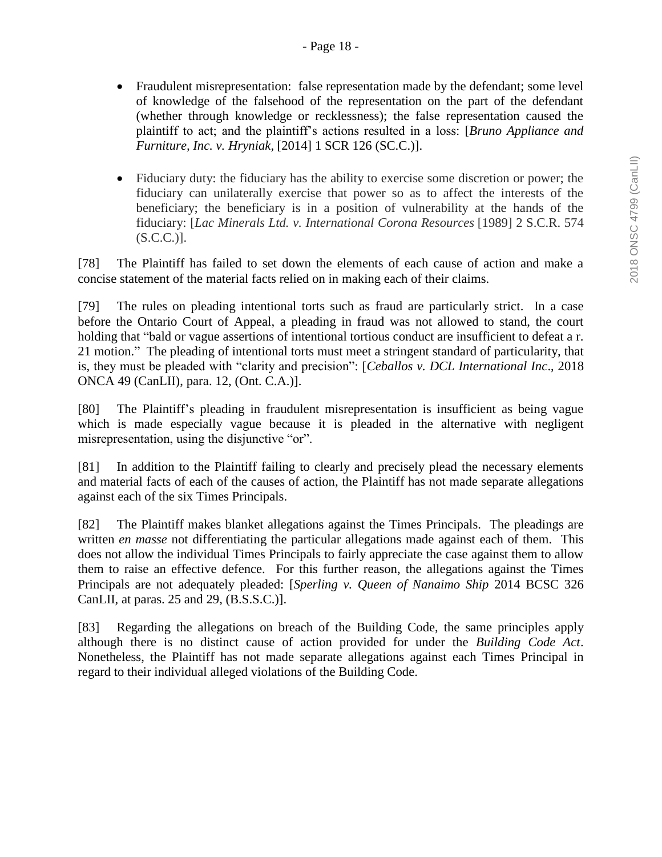- Fraudulent misrepresentation: false representation made by the defendant; some level of knowledge of the falsehood of the representation on the part of the defendant (whether through knowledge or recklessness); the false representation caused the plaintiff to act; and the plaintiff's actions resulted in a loss: [*Bruno Appliance and Furniture, Inc. v. Hryniak,* [2014] 1 SCR 126 (SC.C.)].
- Fiduciary duty: the fiduciary has the ability to exercise some discretion or power; the fiduciary can unilaterally exercise that power so as to affect the interests of the beneficiary; the beneficiary is in a position of vulnerability at the hands of the fiduciary: [*Lac Minerals Ltd. v. International Corona Resources* [1989] 2 S.C.R. 574  $(S.C.C.)$ ].

[78] The Plaintiff has failed to set down the elements of each cause of action and make a concise statement of the material facts relied on in making each of their claims.

[79] The rules on pleading intentional torts such as fraud are particularly strict. In a case before the Ontario Court of Appeal, a pleading in fraud was not allowed to stand, the court holding that "bald or vague assertions of intentional tortious conduct are insufficient to defeat a r. 21 motion." The pleading of intentional torts must meet a stringent standard of particularity, that is, they must be pleaded with "clarity and precision": [*Ceballos v. DCL International Inc*., 2018 ONCA 49 (CanLII), para. 12, (Ont. C.A.)].

[80] The Plaintiff's pleading in fraudulent misrepresentation is insufficient as being vague which is made especially vague because it is pleaded in the alternative with negligent misrepresentation, using the disjunctive "or".

[81] In addition to the Plaintiff failing to clearly and precisely plead the necessary elements and material facts of each of the causes of action, the Plaintiff has not made separate allegations against each of the six Times Principals.

[82] The Plaintiff makes blanket allegations against the Times Principals. The pleadings are written *en masse* not differentiating the particular allegations made against each of them. This does not allow the individual Times Principals to fairly appreciate the case against them to allow them to raise an effective defence. For this further reason, the allegations against the Times Principals are not adequately pleaded: [*Sperling v. Queen of Nanaimo Ship* 2014 BCSC 326 CanLII, at paras. 25 and 29, (B.S.S.C.)].

[83] Regarding the allegations on breach of the Building Code, the same principles apply although there is no distinct cause of action provided for under the *Building Code Act*. Nonetheless, the Plaintiff has not made separate allegations against each Times Principal in regard to their individual alleged violations of the Building Code.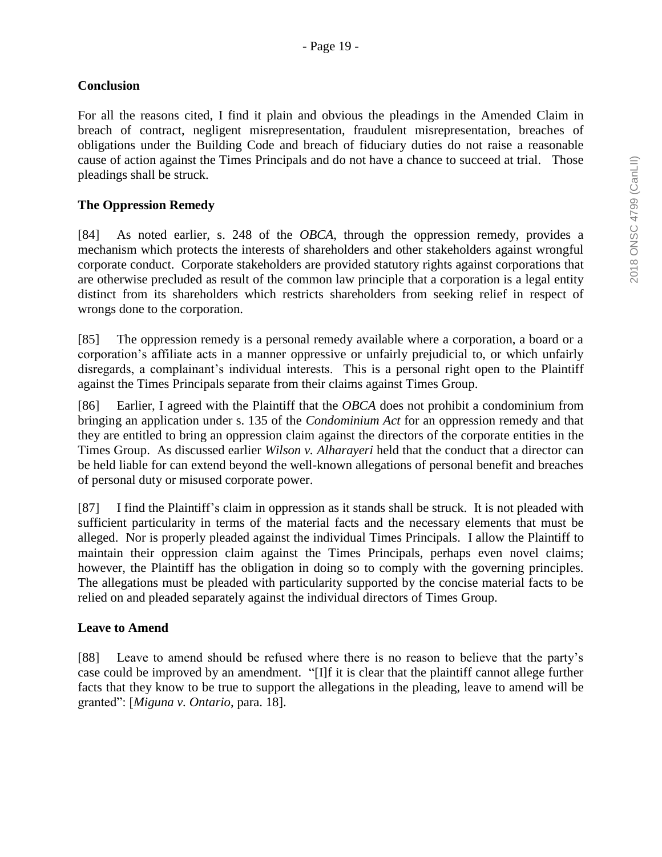### **Conclusion**

For all the reasons cited, I find it plain and obvious the pleadings in the Amended Claim in breach of contract, negligent misrepresentation, fraudulent misrepresentation, breaches of obligations under the Building Code and breach of fiduciary duties do not raise a reasonable cause of action against the Times Principals and do not have a chance to succeed at trial. Those pleadings shall be struck.

### **The Oppression Remedy**

[84] As noted earlier, s. 248 of the *OBCA*, through the oppression remedy, provides a mechanism which protects the interests of shareholders and other stakeholders against wrongful corporate conduct. Corporate stakeholders are provided statutory rights against corporations that are otherwise precluded as result of the common law principle that a corporation is a legal entity distinct from its shareholders which restricts shareholders from seeking relief in respect of wrongs done to the corporation.

[85] The oppression remedy is a personal remedy available where a corporation, a board or a corporation's affiliate acts in a manner oppressive or unfairly prejudicial to, or which unfairly disregards, a complainant's individual interests. This is a personal right open to the Plaintiff against the Times Principals separate from their claims against Times Group.

[86] Earlier, I agreed with the Plaintiff that the *OBCA* does not prohibit a condominium from bringing an application under s. 135 of the *Condominium Act* for an oppression remedy and that they are entitled to bring an oppression claim against the directors of the corporate entities in the Times Group. As discussed earlier *Wilson v. Alharayeri* held that the conduct that a director can be held liable for can extend beyond the well-known allegations of personal benefit and breaches of personal duty or misused corporate power.

[87] I find the Plaintiff's claim in oppression as it stands shall be struck. It is not pleaded with sufficient particularity in terms of the material facts and the necessary elements that must be alleged. Nor is properly pleaded against the individual Times Principals. I allow the Plaintiff to maintain their oppression claim against the Times Principals, perhaps even novel claims; however, the Plaintiff has the obligation in doing so to comply with the governing principles. The allegations must be pleaded with particularity supported by the concise material facts to be relied on and pleaded separately against the individual directors of Times Group.

#### **Leave to Amend**

[88] Leave to amend should be refused where there is no reason to believe that the party's case could be improved by an amendment. "[I]f it is clear that the plaintiff cannot allege further facts that they know to be true to support the allegations in the pleading, leave to amend will be granted": [*Miguna v. Ontario*, para. 18].